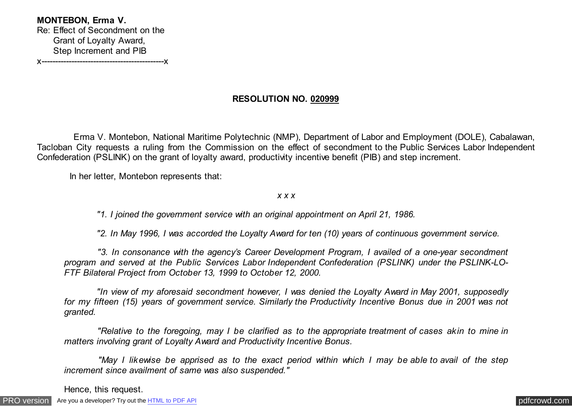**MONTEBON, Erma V.**  Re: Effect of Secondment on the Grant of Loyalty Award, Step Increment and PIB x---------------------------------------------x

**RESOLUTION NO. 020999**

 Erma V. Montebon, National Maritime Polytechnic (NMP), Department of Labor and Employment (DOLE), Cabalawan, Tacloban City requests a ruling from the Commission on the effect of secondment to the Public Services Labor Independent Confederation (PSLINK) on the grant of loyalty award, productivity incentive benefit (PIB) and step increment.

In her letter, Montebon represents that:

*x x x*

 *"1. I joined the government service with an original appointment on April 21, 1986.*

 *"2. In May 1996, I was accorded the Loyalty Award for ten (10) years of continuous government service.*

 *"3. In consonance with the agency's Career Development Program, I availed of a one-year secondment program and served at the Public Services Labor Independent Confederation (PSLINK) under the PSLINK-LO-FTF Bilateral Project from October 13, 1999 to October 12, 2000.*

 *"In view of my aforesaid secondment however, I was denied the Loyalty Award in May 2001, supposedly for my fifteen (15) years of government service. Similarly the Productivity Incentive Bonus due in 2001 was not granted.*

 *"Relative to the foregoing, may I be clarified as to the appropriate treatment of cases akin to mine in matters involving grant of Loyalty Award and Productivity Incentive Bonus.*

 *"May I likewise be apprised as to the exact period within which I may be able to avail of the step increment since availment of same was also suspended."*

Hence, this request.

[PRO version](http://pdfcrowd.com/customize/) Are you a developer? Try out th[e HTML to PDF API](http://pdfcrowd.com/html-to-pdf-api/?ref=pdf) contract the contract of the HTML to PDF API [pdfcrowd.com](http://pdfcrowd.com)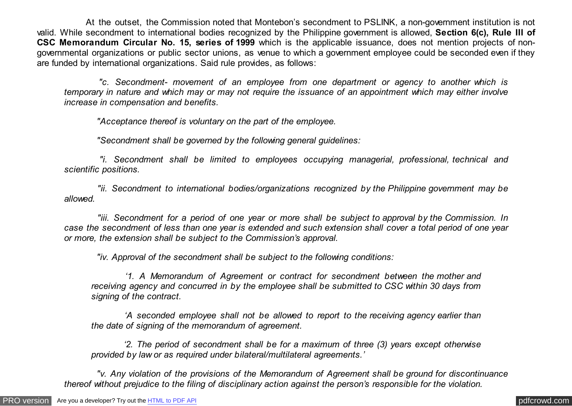At the outset, the Commission noted that Montebon's secondment to PSLINK, a non-government institution is not valid. While secondment to international bodies recognized by the Philippine government is allowed, **Section 6(c), Rule III of CSC Memorandum Circular No. 15, series of 1999** which is the applicable issuance, does not mention projects of nongovernmental organizations or public sector unions, as venue to which a government employee could be seconded even if they are funded by international organizations. Said rule provides, as follows:

 *"c. Secondment- movement of an employee from one department or agency to another which is temporary in nature and which may or may not require the issuance of an appointment which may either involve increase in compensation and benefits.*

 *"Acceptance thereof is voluntary on the part of the employee.*

 *"Secondment shall be governed by the following general guidelines:*

 *"i. Secondment shall be limited to employees occupying managerial, professional, technical and scientific positions.*

 *"ii. Secondment to international bodies/organizations recognized by the Philippine government may be allowed.*

 *"iii. Secondment for a period of one year or more shall be subject to approval by the Commission. In case the secondment of less than one year is extended and such extension shall cover a total period of one year or more, the extension shall be subject to the Commission's approval.*

 *"iv. Approval of the secondment shall be subject to the following conditions:*

 *'1. A Memorandum of Agreement or contract for secondment between the mother and receiving agency and concurred in by the employee shall be submitted to CSC within 30 days from signing of the contract.*

 *'A seconded employee shall not be allowed to report to the receiving agency earlier than the date of signing of the memorandum of agreement.*

 *'2. The period of secondment shall be for a maximum of three (3) years except otherwise provided by law or as required under bilateral/multilateral agreements.'*

 *"v. Any violation of the provisions of the Memorandum of Agreement shall be ground for discontinuance thereof without prejudice to the filing of disciplinary action against the person's responsible for the violation.*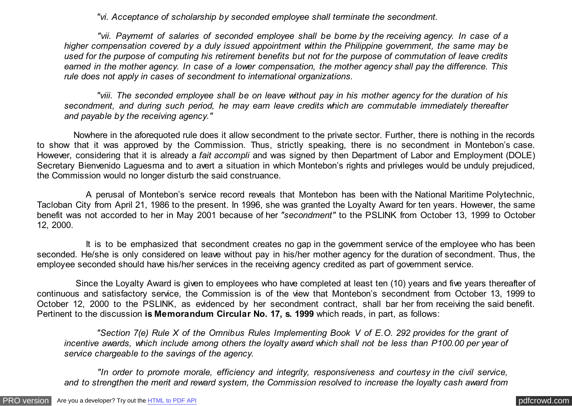*"vi. Acceptance of scholarship by seconded employee shall terminate the secondment.*

 *"vii. Paymemt of salaries of seconded employee shall be borne by the receiving agency. In case of a higher compensation covered by a duly issued appointment within the Philippine government, the same may be used for the purpose of computing his retirement benefits but not for the purpose of commutation of leave credits earned in the mother agency. In case of a lower compensation, the mother agency shall pay the difference. This rule does not apply in cases of secondment to international organizations.*

 *"viii. The seconded employee shall be on leave without pay in his mother agency for the duration of his secondment, and during such period, he may earn leave credits which are commutable immediately thereafter and payable by the receiving agency."*

 Nowhere in the aforequoted rule does it allow secondment to the private sector. Further, there is nothing in the records to show that it was approved by the Commission. Thus, strictly speaking, there is no secondment in Montebon's case. However, considering that it is already a *fait accompli* and was signed by then Department of Labor and Employment (DOLE) Secretary Bienvenido Laguesma and to avert a situation in which Montebon's rights and privileges would be unduly prejudiced, the Commission would no longer disturb the said construance.

 A perusal of Montebon's service record reveals that Montebon has been with the National Maritime Polytechnic, Tacloban City from April 21, 1986 to the present. In 1996, she was granted the Loyalty Award for ten years. However, the same benefit was not accorded to her in May 2001 because of her *"secondment"* to the PSLINK from October 13, 1999 to October 12, 2000.

 It is to be emphasized that secondment creates no gap in the government service of the employee who has been seconded. He/she is only considered on leave without pay in his/her mother agency for the duration of secondment. Thus, the employee seconded should have his/her services in the receiving agency credited as part of government service.

 Since the Loyalty Award is given to employees who have completed at least ten (10) years and five years thereafter of continuous and satisfactory service, the Commission is of the view that Montebon's secondment from October 13, 1999 to October 12, 2000 to the PSLINK, as evidenced by her secondment contract, shall bar her from receiving the said benefit. Pertinent to the discussion **is Memorandum Circular No. 17, s. 1999** which reads, in part, as follows:

 *"Section 7(e) Rule X of the Omnibus Rules Implementing Book V of E.O. 292 provides for the grant of incentive awards, which include among others the loyalty award which shall not be less than P100.00 per year of service chargeable to the savings of the agency.*

 *"In order to promote morale, efficiency and integrity, responsiveness and courtesy in the civil service, and to strengthen the merit and reward system, the Commission resolved to increase the loyalty cash award from*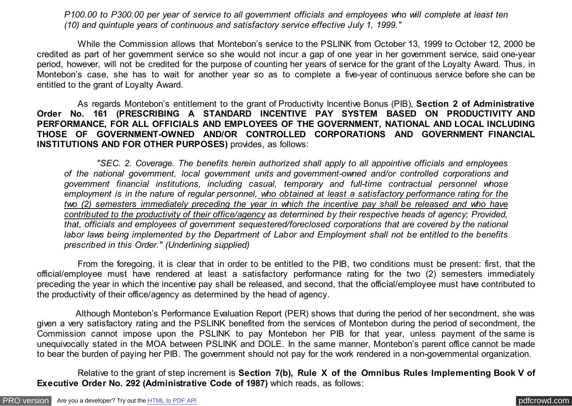*P100.00 to P300.00 per year of service to all government officials and employees who will complete at least ten (10) and quintuple years of continuous and satisfactory service effective July 1, 1999."*

 While the Commission allows that Montebon's service to the PSLINK from October 13, 1999 to October 12, 2000 be credited as part of her government service so she would not incur a gap of one year in her government service, said one-year period, however, will not be credited for the purpose of counting her years of service for the grant of the Loyalty Award. Thus, in Montebon's case, she has to wait for another year so as to complete a five-year of continuous service before she can be entitled to the grant of Loyalty Award.

 As regards Montebon's entitlement to the grant of Productivity Incentive Bonus (PIB), **Section 2 of Administrative Order No. 161 (PRESCRIBING A STANDARD INCENTIVE PAY SYSTEM BASED ON PRODUCTIVITY AND PERFORMANCE, FOR ALL OFFICIALS AND EMPLOYEES OF THE GOVERNMENT, NATIONAL AND LOCAL INCLUDING THOSE OF GOVERNMENT-OWNED AND/OR CONTROLLED CORPORATIONS AND GOVERNMENT FINANCIAL INSTITUTIONS AND FOR OTHER PURPOSES)** provides, as follows:

 *"SEC. 2. Coverage. The benefits herein authorized shall apply to all appointive officials and employees of the national government, local government units and government-owned and/or controlled corporations and government financial institutions, including casual, temporary and full-time contractual personnel whose employment is in the nature of regular personnel, who obtained at least a satisfactory performance rating for the two (2) semesters immediately preceding the year in which the incentive pay shall be released and who have contributed to the productivity of their office/agency as determined by their respective heads of agency; Provided, that, officials and employees of government sequestered/foreclosed corporations that are covered by the national labor laws being implemented by the Department of Labor and Employment shall not be entitled to the benefits prescribed in this Order." (Underlining supplied)*

 From the foregoing, it is clear that in order to be entitled to the PIB, two conditions must be present: first, that the official/employee must have rendered at least a satisfactory performance rating for the two (2) semesters immediately preceding the year in which the incentive pay shall be released, and second, that the official/employee must have contributed to the productivity of their office/agency as determined by the head of agency.

 Although Montebon's Performance Evaluation Report (PER) shows that during the period of her secondment, she was given a very satisfactory rating and the PSLINK benefited from the services of Montebon during the period of secondment, the Commission cannot impose upon the PSLINK to pay Montebon her PIB for that year, unless payment of the same is unequivocally stated in the MOA between PSLINK and DOLE. In the same manner, Montebon's parent office cannot be made to bear the burden of paying her PIB. The government should not pay for the work rendered in a non-governmental organization.

 Relative to the grant of step increment is **Section 7(b), Rule X of the Omnibus Rules Implementing Book V of Executive Order No. 292 (Administrative Code of 1987)** which reads, as follows: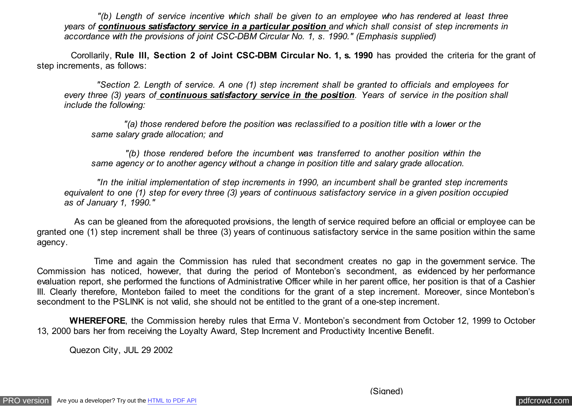*"(b) Length of service incentive which shall be given to an employee who has rendered at least three years of continuous satisfactory service in a particular position and which shall consist of step increments in accordance with the provisions of joint CSC-DBM Circular No. 1, s. 1990." (Emphasis supplied)*

 Corollarily, **Rule III, Section 2 of Joint CSC-DBM Circular No. 1, s. 1990** has provided the criteria for the grant of step increments, as follows:

 *"Section 2. Length of service. A one (1) step increment shall be granted to officials and employees for every three (3) years of continuous satisfactory service in the position. Years of service in the position shall include the following:*

 *"(a) those rendered before the position was reclassified to a position title with a lower or the same salary grade allocation; and*

 *"(b) those rendered before the incumbent was transferred to another position within the same agency or to another agency without a change in position title and salary grade allocation.*

 *"In the initial implementation of step increments in 1990, an incumbent shall be granted step increments equivalent to one (1) step for every three (3) years of continuous satisfactory service in a given position occupied as of January 1, 1990."*

 As can be gleaned from the aforequoted provisions, the length of service required before an official or employee can be granted one (1) step increment shall be three (3) years of continuous satisfactory service in the same position within the same agency.

 Time and again the Commission has ruled that secondment creates no gap in the government service. The Commission has noticed, however, that during the period of Montebon's secondment, as evidenced by her performance evaluation report, she performed the functions of Administrative Officer while in her parent office, her position is that of a Cashier III. Clearly therefore, Montebon failed to meet the conditions for the grant of a step increment. Moreover, since Montebon's secondment to the PSLINK is not valid, she should not be entitled to the grant of a one-step increment.

 **WHEREFORE**, the Commission hereby rules that Erma V. Montebon's secondment from October 12, 1999 to October 13, 2000 bars her from receiving the Loyalty Award, Step Increment and Productivity Incentive Benefit.

Quezon City, JUL 29 2002